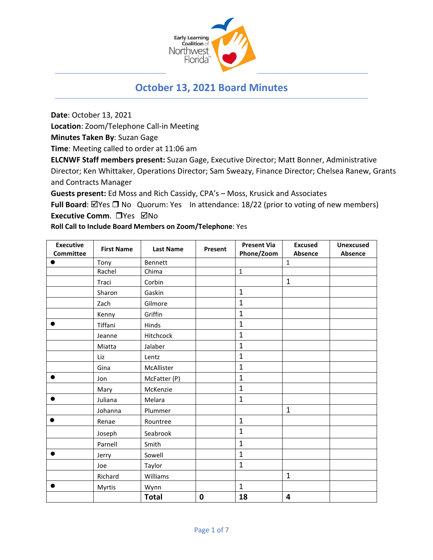

# **October 13, 2021 Board Minutes**

**Date**: October 13, 2021

**Location**: Zoom/Telephone Call-in Meeting

**Minutes Taken By**: Suzan Gage

**Time**: Meeting called to order at 11:06 am

**ELCNWF Staff members present:** Suzan Gage, Executive Director; Matt Bonner, Administrative Director; Ken Whittaker, Operations Director; Sam Sweazy, Finance Director; Chelsea Ranew, Grants and Contracts Manager

**Guests present:** Ed Moss and Rich Cassidy, CPA's – Moss, Krusick and Associates

**Full Board**: ⊠Yes □ No Quorum: Yes In attendance: 18/22 (prior to voting of new members) **Executive Comm.** □ Yes ⊠No

**Roll Call to Include Board Members on Zoom/Telephone**: Yes

| <b>Executive</b> | <b>First Name</b> | <b>Last Name</b> | Present     | <b>Present Via</b> | <b>Excused</b>          | <b>Unexcused</b> |
|------------------|-------------------|------------------|-------------|--------------------|-------------------------|------------------|
| <b>Committee</b> |                   |                  |             | Phone/Zoom         | Absence                 | Absence          |
|                  | Tony              | <b>Bennett</b>   |             |                    | $\mathbf{1}$            |                  |
|                  | Rachel            | Chima            |             | $\mathbf 1$        |                         |                  |
|                  | Traci             | Corbin           |             |                    | $\mathbf{1}$            |                  |
|                  | Sharon            | Gaskin           |             | $\mathbf 1$        |                         |                  |
|                  | Zach              | Gilmore          |             | $\mathbf{1}$       |                         |                  |
|                  | Kenny             | Griffin          |             | $\mathbf{1}$       |                         |                  |
|                  | Tiffani           | Hinds            |             | $\overline{1}$     |                         |                  |
|                  | Jeanne            | Hitchcock        |             | $\mathbf{1}$       |                         |                  |
|                  | Miatta            | Jalaber          |             | $\overline{1}$     |                         |                  |
|                  | Liz               | Lentz            |             | $\mathbf{1}$       |                         |                  |
|                  | Gina              | McAllister       |             | $\mathbf{1}$       |                         |                  |
| $\bullet$        | Jon               | McFatter (P)     |             | $\mathbf{1}$       |                         |                  |
|                  | Mary              | McKenzie         |             | $\mathbf{1}$       |                         |                  |
|                  | Juliana           | Melara           |             | $\mathbf{1}$       |                         |                  |
|                  | Johanna           | Plummer          |             |                    | $\mathbf{1}$            |                  |
|                  | Renae             | Rountree         |             | $\overline{1}$     |                         |                  |
|                  | Joseph            | Seabrook         |             | $\overline{1}$     |                         |                  |
|                  | Parnell           | Smith            |             | $\mathbf{1}$       |                         |                  |
|                  | Jerry             | Sowell           |             | $\mathbf{1}$       |                         |                  |
|                  | Joe               | Taylor           |             | $\mathbf{1}$       |                         |                  |
|                  | Richard           | Williams         |             |                    | $\mathbf{1}$            |                  |
| $\bullet$        | Myrtis            | Wynn             |             | $\mathbf{1}$       |                         |                  |
|                  |                   | <b>Total</b>     | $\mathbf 0$ | 18                 | $\overline{\mathbf{4}}$ |                  |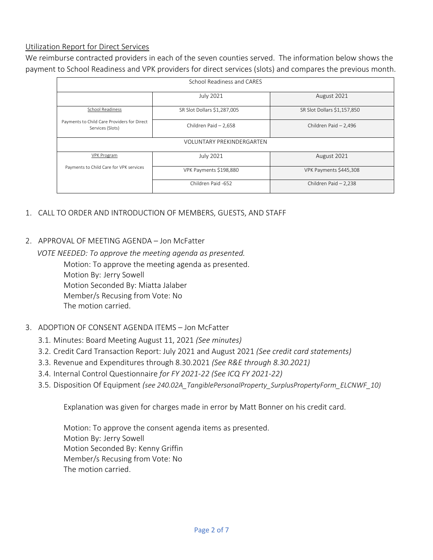### Utilization Report for Direct Services

We reimburse contracted providers in each of the seven counties served. The information below shows the payment to School Readiness and VPK providers for direct services (slots) and compares the previous month.

| School Readiness and CARES                                      |                             |                             |  |  |  |  |
|-----------------------------------------------------------------|-----------------------------|-----------------------------|--|--|--|--|
|                                                                 | July 2021                   | August 2021                 |  |  |  |  |
| School Readiness                                                | SR Slot Dollars \$1,287,005 | SR Slot Dollars \$1,157,850 |  |  |  |  |
| Payments to Child Care Providers for Direct<br>Services (Slots) | Children Paid - 2,658       | Children Paid - 2,496       |  |  |  |  |
| <b>VOLUNTARY PREKINDERGARTEN</b>                                |                             |                             |  |  |  |  |
| <b>VPK Program</b>                                              | July 2021                   | August 2021                 |  |  |  |  |
| Payments to Child Care for VPK services                         | VPK Payments \$198,880      | VPK Payments \$445,308      |  |  |  |  |
|                                                                 | Children Paid -652          | Children Paid - 2,238       |  |  |  |  |

- 1. CALL TO ORDER AND INTRODUCTION OF MEMBERS, GUESTS, AND STAFF
- 2. APPROVAL OF MEETING AGENDA Jon McFatter

 *VOTE NEEDED: To approve the meeting agenda as presented.* Motion: To approve the meeting agenda as presented. Motion By: Jerry Sowell Motion Seconded By: Miatta Jalaber Member/s Recusing from Vote: No The motion carried.

#### 3. ADOPTION OF CONSENT AGENDA ITEMS – Jon McFatter

- 3.1. Minutes: Board Meeting August 11, 2021 *(See minutes)*
- 3.2. Credit Card Transaction Report: July 2021 and August 2021 *(See credit card statements)*
- 3.3. Revenue and Expenditures through 8.30.2021 *(See R&E through 8.30.2021)*
- 3.4. Internal Control Questionnaire *for FY 2021-22 (See ICQ FY 2021-22)*
- 3.5. Disposition Of Equipment *(see 240.02A\_TangiblePersonalProperty\_SurplusPropertyForm\_ELCNWF\_10)*

Explanation was given for charges made in error by Matt Bonner on his credit card.

Motion: To approve the consent agenda items as presented. Motion By: Jerry Sowell Motion Seconded By: Kenny Griffin Member/s Recusing from Vote: No The motion carried.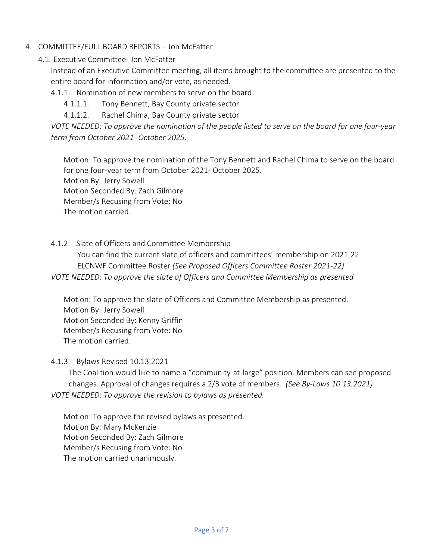## 4. COMMITTEE/FULL BOARD REPORTS – Jon McFatter

4.1. Executive Committee- Jon McFatter

Instead of an Executive Committee meeting, all items brought to the committee are presented to the entire board for information and/or vote, as needed.

4.1.1. Nomination of new members to serve on the board:

4.1.1.1. Tony Bennett, Bay County private sector

4.1.1.2. Rachel Chima, Bay County private sector

*VOTE NEEDED: To approve the nomination of the people listed to serve on the board for one four-year term from October 2021- October 2025.*

Motion: To approve the nomination of the Tony Bennett and Rachel Chima to serve on the board for one four-year term from October 2021- October 2025. Motion By: Jerry Sowell Motion Seconded By: Zach Gilmore Member/s Recusing from Vote: No The motion carried.

4.1.2. Slate of Officers and Committee Membership

 You can find the current slate of officers and committees' membership on 2021-22 ELCNWF Committee Roster *(See Proposed Officers Committee Roster 2021-22)*

*VOTE NEEDED: To approve the slate of Officers and Committee Membership as presented*

Motion: To approve the slate of Officers and Committee Membership as presented. Motion By: Jerry Sowell Motion Seconded By: Kenny Griffin Member/s Recusing from Vote: No The motion carried.

#### 4.1.3. Bylaws Revised 10.13.2021

The Coalition would like to name a "community-at-large" position. Members can see proposed changes. Approval of changes requires a 2/3 vote of members. *(See By-Laws 10.13.2021) VOTE NEEDED: To approve the revision to bylaws as presented.* 

Motion: To approve the revised bylaws as presented. Motion By: Mary McKenzie Motion Seconded By: Zach Gilmore Member/s Recusing from Vote: No The motion carried unanimously.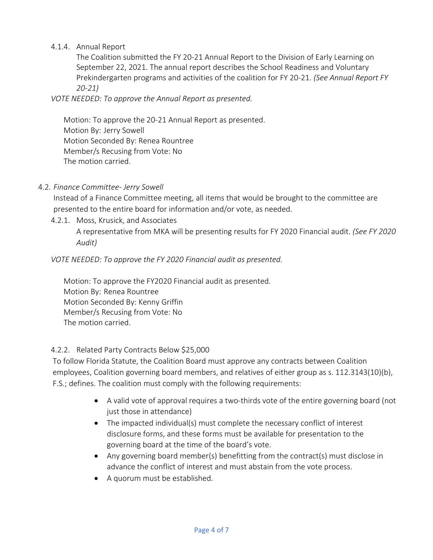## 4.1.4. Annual Report

The Coalition submitted the FY 20-21 Annual Report to the Division of Early Learning on September 22, 2021. The annual report describes the School Readiness and Voluntary Prekindergarten programs and activities of the coalition for FY 20-21. *(See Annual Report FY 20-21)*

*VOTE NEEDED: To approve the Annual Report as presented.* 

Motion: To approve the 20-21 Annual Report as presented. Motion By: Jerry Sowell Motion Seconded By: Renea Rountree Member/s Recusing from Vote: No The motion carried.

## 4.2. *Finance Committee- Jerry Sowell*

Instead of a Finance Committee meeting, all items that would be brought to the committee are presented to the entire board for information and/or vote, as needed.

4.2.1. Moss, Krusick, and Associates A representative from MKA will be presenting results for FY 2020 Financial audit. *(See FY 2020 Audit)*

## *VOTE NEEDED: To approve the FY 2020 Financial audit as presented.*

Motion: To approve the FY2020 Financial audit as presented. Motion By: Renea Rountree Motion Seconded By: Kenny Griffin Member/s Recusing from Vote: No The motion carried.

#### 4.2.2. Related Party Contracts Below \$25,000

To follow Florida Statute, the Coalition Board must approve any contracts between Coalition employees, Coalition governing board members, and relatives of either group as s. 112.3143(10)(b), F.S.; defines. The coalition must comply with the following requirements:

- A valid vote of approval requires a two-thirds vote of the entire governing board (not just those in attendance)
- The impacted individual(s) must complete the necessary conflict of interest disclosure forms, and these forms must be available for presentation to the governing board at the time of the board's vote.
- Any governing board member(s) benefitting from the contract(s) must disclose in advance the conflict of interest and must abstain from the vote process.
- A quorum must be established.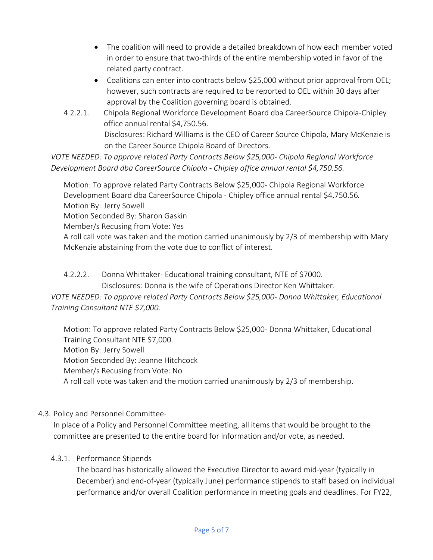- The coalition will need to provide a detailed breakdown of how each member voted in order to ensure that two-thirds of the entire membership voted in favor of the related party contract.
- Coalitions can enter into contracts below \$25,000 without prior approval from OEL; however, such contracts are required to be reported to OEL within 30 days after approval by the Coalition governing board is obtained.
- 4.2.2.1. Chipola Regional Workforce Development Board dba CareerSource Chipola-Chipley office annual rental \$4,750.56. Disclosures: Richard Williams is the CEO of Career Source Chipola, Mary McKenzie is on the Career Source Chipola Board of Directors.

*VOTE NEEDED: To approve related Party Contracts Below \$25,000- Chipola Regional Workforce Development Board dba CareerSource Chipola - Chipley office annual rental \$4,750.56.*

Motion: To approve related Party Contracts Below \$25,000- Chipola Regional Workforce Development Board dba CareerSource Chipola - Chipley office annual rental \$4,750.56*.* Motion By: Jerry Sowell Motion Seconded By: Sharon Gaskin Member/s Recusing from Vote: Yes A roll call vote was taken and the motion carried unanimously by 2/3 of membership with Mary McKenzie abstaining from the vote due to conflict of interest.

## 4.2.2.2. Donna Whittaker- Educational training consultant, NTE of \$7000.

Disclosures: Donna is the wife of Operations Director Ken Whittaker.

*VOTE NEEDED: To approve related Party Contracts Below \$25,000- Donna Whittaker, Educational Training Consultant NTE \$7,000.*

Motion: To approve related Party Contracts Below \$25,000*-* Donna Whittaker, Educational Training Consultant NTE \$7,000. Motion By: Jerry Sowell Motion Seconded By: Jeanne Hitchcock Member/s Recusing from Vote: No A roll call vote was taken and the motion carried unanimously by 2/3 of membership.

# 4.3. Policy and Personnel Committee-

In place of a Policy and Personnel Committee meeting, all items that would be brought to the committee are presented to the entire board for information and/or vote, as needed.

## 4.3.1. Performance Stipends

The board has historically allowed the Executive Director to award mid-year (typically in December) and end-of-year (typically June) performance stipends to staff based on individual performance and/or overall Coalition performance in meeting goals and deadlines. For FY22,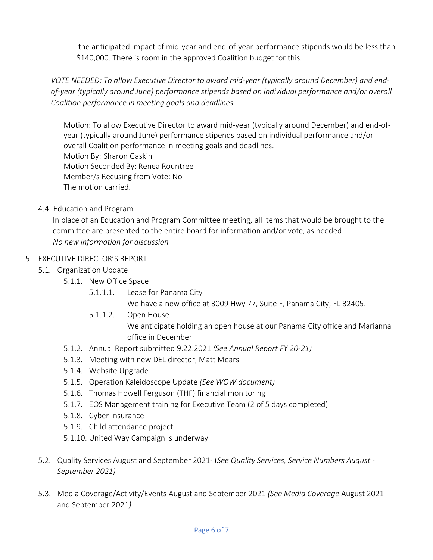the anticipated impact of mid-year and end-of-year performance stipends would be less than \$140,000. There is room in the approved Coalition budget for this.

*VOTE NEEDED: To allow Executive Director to award mid-year (typically around December) and endof-year (typically around June) performance stipends based on individual performance and/or overall Coalition performance in meeting goals and deadlines.*

Motion: To allow Executive Director to award mid-year (typically around December) and end-ofyear (typically around June) performance stipends based on individual performance and/or overall Coalition performance in meeting goals and deadlines. Motion By: Sharon Gaskin Motion Seconded By: Renea Rountree Member/s Recusing from Vote: No The motion carried.

4.4. Education and Program-

In place of an Education and Program Committee meeting, all items that would be brought to the committee are presented to the entire board for information and/or vote, as needed. *No new information for discussion*

# 5. EXECUTIVE DIRECTOR'S REPORT

- 5.1. Organization Update
	- 5.1.1. New Office Space
		- 5.1.1.1. Lease for Panama City We have a new office at 3009 Hwy 77, Suite F, Panama City, FL 32405.
		- 5.1.1.2. Open House We anticipate holding an open house at our Panama City office and Marianna office in December.
	- 5.1.2. Annual Report submitted 9.22.2021 *(See Annual Report FY 20-21)*
	- 5.1.3. Meeting with new DEL director, Matt Mears
	- 5.1.4. Website Upgrade
	- 5.1.5. Operation Kaleidoscope Update *(See WOW document)*
	- 5.1.6. Thomas Howell Ferguson (THF) financial monitoring
	- 5.1.7. EOS Management training for Executive Team (2 of 5 days completed)
	- 5.1.8. Cyber Insurance
	- 5.1.9. Child attendance project
	- 5.1.10. United Way Campaign is underway
- 5.2. Quality Services August and September 2021- (*See Quality Services, Service Numbers August - September 2021)*
- 5.3. Media Coverage/Activity/Events August and September 2021 *(See Media Coverage* August 2021 and September 2021*)*